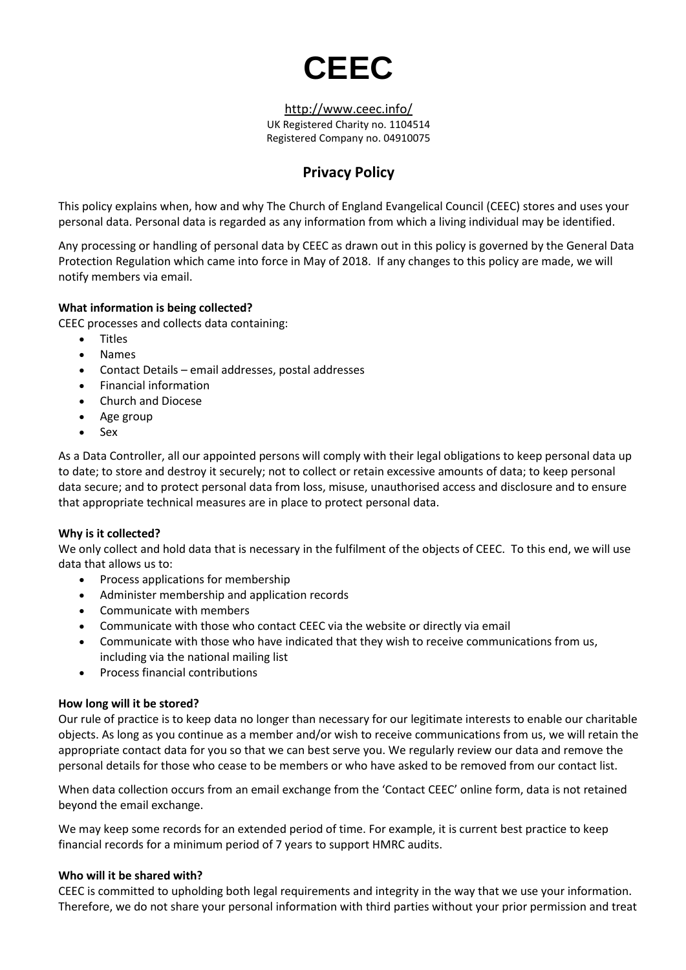

<http://www.ceec.info/> UK Registered Charity no. 1104514 Registered Company no. 04910075

# **Privacy Policy**

This policy explains when, how and why The Church of England Evangelical Council (CEEC) stores and uses your personal data. Personal data is regarded as any information from which a living individual may be identified.

Any processing or handling of personal data by CEEC as drawn out in this policy is governed by the General Data Protection Regulation which came into force in May of 2018. If any changes to this policy are made, we will notify members via email.

### **What information is being collected?**

CEEC processes and collects data containing:

- Titles
- Names
- Contact Details email addresses, postal addresses
- Financial information
- Church and Diocese
- Age group
- Sex

As a Data Controller, all our appointed persons will comply with their legal obligations to keep personal data up to date; to store and destroy it securely; not to collect or retain excessive amounts of data; to keep personal data secure; and to protect personal data from loss, misuse, unauthorised access and disclosure and to ensure that appropriate technical measures are in place to protect personal data.

## **Why is it collected?**

We only collect and hold data that is necessary in the fulfilment of the objects of CEEC. To this end, we will use data that allows us to:

- Process applications for membership
- Administer membership and application records
- Communicate with members
- Communicate with those who contact CEEC via the website or directly via email
- Communicate with those who have indicated that they wish to receive communications from us, including via the national mailing list
- Process financial contributions

#### **How long will it be stored?**

Our rule of practice is to keep data no longer than necessary for our legitimate interests to enable our charitable objects. As long as you continue as a member and/or wish to receive communications from us, we will retain the appropriate contact data for you so that we can best serve you. We regularly review our data and remove the personal details for those who cease to be members or who have asked to be removed from our contact list.

When data collection occurs from an email exchange from the 'Contact CEEC' online form, data is not retained beyond the email exchange.

We may keep some records for an extended period of time. For example, it is current best practice to keep financial records for a minimum period of 7 years to support HMRC audits.

#### **Who will it be shared with?**

CEEC is committed to upholding both legal requirements and integrity in the way that we use your information. Therefore, we do not share your personal information with third parties without your prior permission and treat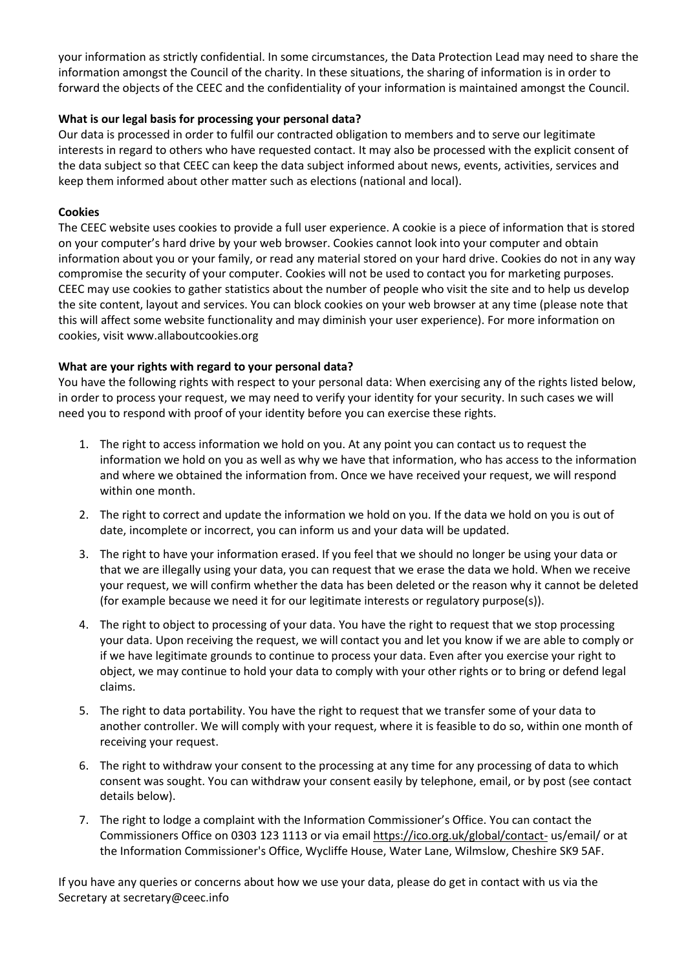your information as strictly confidential. In some circumstances, the Data Protection Lead may need to share the information amongst the Council of the charity. In these situations, the sharing of information is in order to forward the objects of the CEEC and the confidentiality of your information is maintained amongst the Council.

## **What is our legal basis for processing your personal data?**

Our data is processed in order to fulfil our contracted obligation to members and to serve our legitimate interests in regard to others who have requested contact. It may also be processed with the explicit consent of the data subject so that CEEC can keep the data subject informed about news, events, activities, services and keep them informed about other matter such as elections (national and local).

## **Cookies**

The CEEC website uses cookies to provide a full user experience. A cookie is a piece of information that is stored on your computer's hard drive by your web browser. Cookies cannot look into your computer and obtain information about you or your family, or read any material stored on your hard drive. Cookies do not in any way compromise the security of your computer. Cookies will not be used to contact you for marketing purposes. CEEC may use cookies to gather statistics about the number of people who visit the site and to help us develop the site content, layout and services. You can block cookies on your web browser at any time (please note that this will affect some website functionality and may diminish your user experience). For more information on cookies, visit www.allaboutcookies.org

## **What are your rights with regard to your personal data?**

You have the following rights with respect to your personal data: When exercising any of the rights listed below, in order to process your request, we may need to verify your identity for your security. In such cases we will need you to respond with proof of your identity before you can exercise these rights.

- 1. The right to access information we hold on you. At any point you can contact us to request the information we hold on you as well as why we have that information, who has access to the information and where we obtained the information from. Once we have received your request, we will respond within one month.
- 2. The right to correct and update the information we hold on you. If the data we hold on you is out of date, incomplete or incorrect, you can inform us and your data will be updated.
- 3. The right to have your information erased. If you feel that we should no longer be using your data or that we are illegally using your data, you can request that we erase the data we hold. When we receive your request, we will confirm whether the data has been deleted or the reason why it cannot be deleted (for example because we need it for our legitimate interests or regulatory purpose(s)).
- 4. The right to object to processing of your data. You have the right to request that we stop processing your data. Upon receiving the request, we will contact you and let you know if we are able to comply or if we have legitimate grounds to continue to process your data. Even after you exercise your right to object, we may continue to hold your data to comply with your other rights or to bring or defend legal claims.
- 5. The right to data portability. You have the right to request that we transfer some of your data to another controller. We will comply with your request, where it is feasible to do so, within one month of receiving your request.
- 6. The right to withdraw your consent to the processing at any time for any processing of data to which consent was sought. You can withdraw your consent easily by telephone, email, or by post (see contact details below).
- 7. The right to lodge a complaint with the Information Commissioner's Office. You can contact the Commissioners Office on 0303 123 1113 or via email <https://ico.org.uk/global/contact-> us/email/ or at the Information Commissioner's Office, Wycliffe House, Water Lane, Wilmslow, Cheshire SK9 5AF.

If you have any queries or concerns about how we use your data, please do get in contact with us via the Secretary at secretary@ceec.info